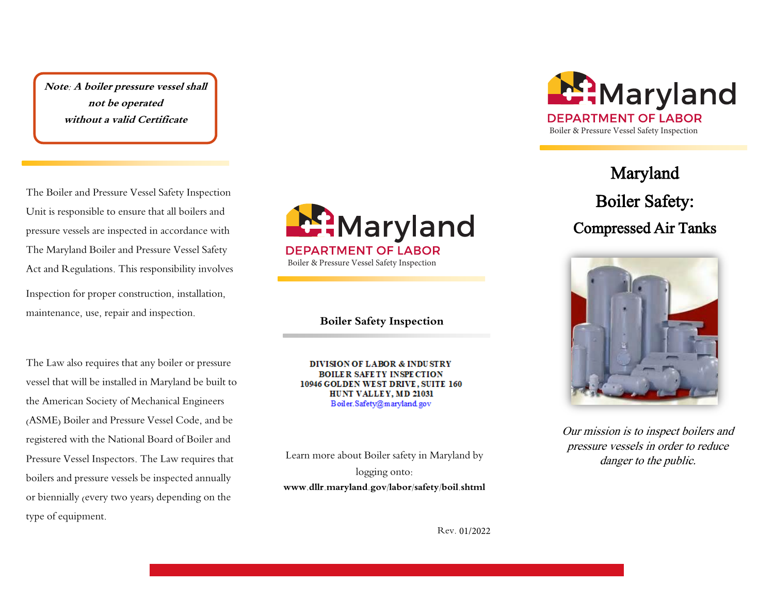**Note: A boiler pressure vessel shall not be operated without a valid Certificate** 

The Boiler and Pressure Vessel Safety Inspection Unit is responsible to ensure that all boilers and pressure vessels are inspected in accordance with The Maryland Boiler and Pressure Vessel Safety Act and Regulations. This responsibility involves Inspection for proper construction, installation, maintenance, use, repair and inspection.

The Law also requires that any boiler or pressure vessel that will be installed in Maryland be built to the American Society of Mechanical Engineers (ASME) Boiler and Pressure Vessel Code, and be registered with the National Board of Boiler and Pressure Vessel Inspectors. The Law requires that boilers and pressure vessels be inspected annually or biennially (every two years) depending on the type of equipment.



**Boiler Safety Inspection** 

**DIVISION OF LABOR & INDUSTRY** BOILER SAFETY INSPECTION 10946 GOLDEN WEST DRIVE, SUITE 160 HUNT VALLEY, MD 21031 Boiler.Safety@maryland.gov

Learn more about Boiler safety in Maryland by logging onto: **www.dllr.maryland.gov/labor/safety/boil.shtml** 



Maryland Boiler Safety:

Compressed Air Tanks



Our mission is to inspect boilers and pressure vessels in order to reduce danger to the public.

Rev. 01/2022